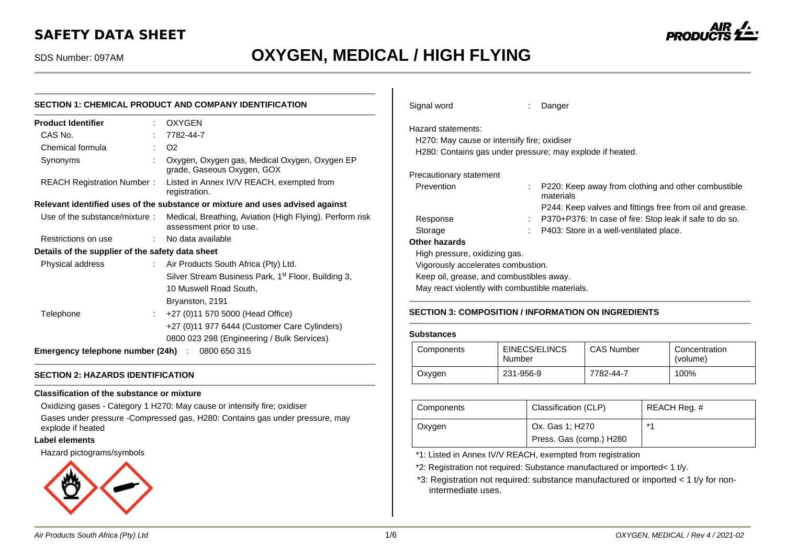# SDS Number: 097AM **OXYGEN, MEDICAL / HIGH FLYING**

| <b>PRODUCTS</b> |
|-----------------|
|                 |

| <b>SECTION 1: CHEMICAL PRODUCT AND COMPANY IDENTIFICATION</b>        |    |                                                                                                                                                        | Signal word                                                                                    |
|----------------------------------------------------------------------|----|--------------------------------------------------------------------------------------------------------------------------------------------------------|------------------------------------------------------------------------------------------------|
| <b>Product Identifier</b><br>CAS No.<br>Chemical formula<br>Synonyms | ÷. | <b>OXYGEN</b><br>7782-44-7<br>O <sub>2</sub><br>Oxygen, Oxygen gas, Medical Oxygen, Oxygen EP<br>grade, Gaseous Oxygen, GOX                            | Hazard statements:<br>H270: May cause or ir<br>H280: Contains gas ur<br>Precautionary statemen |
| <b>REACH Registration Number:</b>                                    |    | Listed in Annex IV/V REACH, exempted from<br>registration.                                                                                             | Prevention                                                                                     |
|                                                                      |    | Relevant identified uses of the substance or mixture and uses advised against                                                                          |                                                                                                |
| Use of the substance/mixture:                                        |    | Medical, Breathing, Aviation (High Flying). Perform risk<br>assessment prior to use.                                                                   | Response<br>Storage                                                                            |
| Restrictions on use                                                  |    | No data available                                                                                                                                      | <b>Other hazards</b>                                                                           |
| Details of the supplier of the safety data sheet                     |    |                                                                                                                                                        | High pressure, oxidizii                                                                        |
| Physical address                                                     |    | : Air Products South Africa (Pty) Ltd.<br>Silver Stream Business Park, 1 <sup>st</sup> Floor, Building 3,<br>10 Muswell Road South,<br>Bryanston, 2191 | Vigorously accelerates<br>Keep oil, grease, and<br>May react violently wit                     |
| Telephone                                                            |    | +27 (0)11 570 5000 (Head Office)                                                                                                                       | <b>SECTION 3: COMPOSI</b>                                                                      |
|                                                                      |    | +27 (0)11 977 6444 (Customer Care Cylinders)<br>0800 023 298 (Engineering / Bulk Services)                                                             | <b>Substances</b>                                                                              |
| Emergency telephone number (24h) :<br>0800 650 315                   |    |                                                                                                                                                        | Components                                                                                     |

# **SECTION 2: HAZARDS IDENTIFICATION**

# **Classification of the substance or mixture**

Oxidizing gases - Category 1 H270: May cause or intensify fire; oxidiser Gases under pressure -Compressed gas, H280: Contains gas under pressure, may explode if heated

#### **Label elements**

Hazard pictograms/symbols



| Signal word                                                       | Danger                                                           |
|-------------------------------------------------------------------|------------------------------------------------------------------|
| Hazard statements:<br>H270: May cause or intensify fire; oxidiser | H280: Contains gas under pressure; may explode if heated.        |
| Precautionary statement                                           |                                                                  |
| Prevention                                                        | P220: Keep away from clothing and other combustible<br>materials |
|                                                                   | P244: Keep valves and fittings free from oil and grease.         |
| Response                                                          | P370+P376: In case of fire: Stop leak if safe to do so.          |
| Storage                                                           | P403: Store in a well-ventilated place.                          |
| Other hazards                                                     |                                                                  |
| High pressure, oxidizing gas.                                     |                                                                  |
| Vigorously accelerates combustion.                                |                                                                  |
| Keep oil, grease, and combustibles away.                          |                                                                  |
| May react violently with combustible materials.                   |                                                                  |
|                                                                   |                                                                  |

# **SECTION 3: COMPOSITION / INFORMATION ON INGREDIENTS**

| Components | EINECS/ELINCS<br>Number | <b>CAS Number</b> | Concentration<br>(volume) |
|------------|-------------------------|-------------------|---------------------------|
| Oxygen     | 231-956-9               | 7782-44-7         | 100%                      |

| Components | Classification (CLP)                       | REACH Reg. # |
|------------|--------------------------------------------|--------------|
| Oxygen     | Ox. Gas 1; H270<br>Press. Gas (comp.) H280 | $*4$         |

\*1: Listed in Annex IV/V REACH, exempted from registration

\*2: Registration not required: Substance manufactured or imported< 1 t/y.

\*3: Registration not required: substance manufactured or imported < 1 t/y for nonintermediate uses.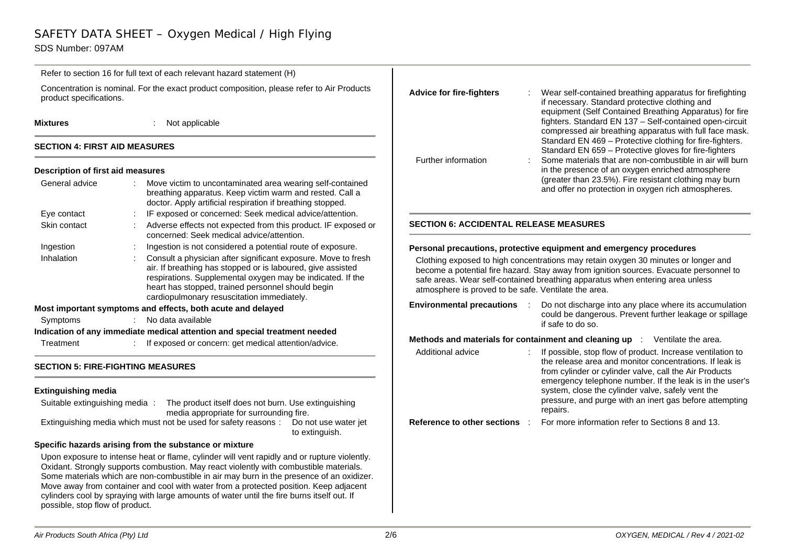# *SAFETY DATA SHEET – Oxygen Medical / High Flying*

# SDS Number: 097AM

|                                                                                                                                                                                                                                                                                                             | Refer to section 16 for full text of each relevant hazard statement (H)                                                                                                                                                                                                                                                                                                                                                                                                   |                                                                                                                                                                                                                                                                                                                       |                                                                                                                                                                                 |  |  |
|-------------------------------------------------------------------------------------------------------------------------------------------------------------------------------------------------------------------------------------------------------------------------------------------------------------|---------------------------------------------------------------------------------------------------------------------------------------------------------------------------------------------------------------------------------------------------------------------------------------------------------------------------------------------------------------------------------------------------------------------------------------------------------------------------|-----------------------------------------------------------------------------------------------------------------------------------------------------------------------------------------------------------------------------------------------------------------------------------------------------------------------|---------------------------------------------------------------------------------------------------------------------------------------------------------------------------------|--|--|
| product specifications.                                                                                                                                                                                                                                                                                     | Concentration is nominal. For the exact product composition, please refer to Air Products                                                                                                                                                                                                                                                                                                                                                                                 | <b>Advice for fire-fighters</b>                                                                                                                                                                                                                                                                                       | Wear self-contained breathing apparatus for firefighting<br>if necessary. Standard protective clothing and                                                                      |  |  |
| <b>Mixtures</b><br>Not applicable                                                                                                                                                                                                                                                                           |                                                                                                                                                                                                                                                                                                                                                                                                                                                                           |                                                                                                                                                                                                                                                                                                                       | equipment (Self Contained Breathing Apparatus) for fire<br>fighters. Standard EN 137 - Self-contained open-circuit<br>compressed air breathing apparatus with full face mask.   |  |  |
| <b>SECTION 4: FIRST AID MEASURES</b>                                                                                                                                                                                                                                                                        |                                                                                                                                                                                                                                                                                                                                                                                                                                                                           |                                                                                                                                                                                                                                                                                                                       | Standard EN 469 - Protective clothing for fire-fighters.<br>Standard EN 659 - Protective gloves for fire-fighters                                                               |  |  |
| <b>Description of first aid measures</b>                                                                                                                                                                                                                                                                    |                                                                                                                                                                                                                                                                                                                                                                                                                                                                           | Further information                                                                                                                                                                                                                                                                                                   | Some materials that are non-combustible in air will burn<br>in the presence of an oxygen enriched atmosphere                                                                    |  |  |
| General advice<br>Move victim to uncontaminated area wearing self-contained<br>breathing apparatus. Keep victim warm and rested. Call a<br>doctor. Apply artificial respiration if breathing stopped.                                                                                                       |                                                                                                                                                                                                                                                                                                                                                                                                                                                                           |                                                                                                                                                                                                                                                                                                                       | (greater than 23.5%). Fire resistant clothing may burn<br>and offer no protection in oxygen rich atmospheres.                                                                   |  |  |
| Eye contact                                                                                                                                                                                                                                                                                                 | IF exposed or concerned: Seek medical advice/attention.                                                                                                                                                                                                                                                                                                                                                                                                                   |                                                                                                                                                                                                                                                                                                                       |                                                                                                                                                                                 |  |  |
| Skin contact                                                                                                                                                                                                                                                                                                | Adverse effects not expected from this product. IF exposed or<br>concerned: Seek medical advice/attention.                                                                                                                                                                                                                                                                                                                                                                | <b>SECTION 6: ACCIDENTAL RELEASE MEASURES</b>                                                                                                                                                                                                                                                                         |                                                                                                                                                                                 |  |  |
| Ingestion                                                                                                                                                                                                                                                                                                   | Ingestion is not considered a potential route of exposure.                                                                                                                                                                                                                                                                                                                                                                                                                |                                                                                                                                                                                                                                                                                                                       | Personal precautions, protective equipment and emergency procedures                                                                                                             |  |  |
| Consult a physician after significant exposure. Move to fresh<br>Inhalation<br>air. If breathing has stopped or is laboured, give assisted<br>respirations. Supplemental oxygen may be indicated. If the<br>heart has stopped, trained personnel should begin<br>cardiopulmonary resuscitation immediately. |                                                                                                                                                                                                                                                                                                                                                                                                                                                                           | Clothing exposed to high concentrations may retain oxygen 30 minutes or longer and<br>become a potential fire hazard. Stay away from ignition sources. Evacuate personnel to<br>safe areas. Wear self-contained breathing apparatus when entering area unless<br>atmosphere is proved to be safe. Ventilate the area. |                                                                                                                                                                                 |  |  |
|                                                                                                                                                                                                                                                                                                             | Most important symptoms and effects, both acute and delayed                                                                                                                                                                                                                                                                                                                                                                                                               | <b>Environmental precautions :</b>                                                                                                                                                                                                                                                                                    | Do not discharge into any place where its accumulation                                                                                                                          |  |  |
| Symptoms                                                                                                                                                                                                                                                                                                    | : No data available                                                                                                                                                                                                                                                                                                                                                                                                                                                       |                                                                                                                                                                                                                                                                                                                       | could be dangerous. Prevent further leakage or spillage<br>if safe to do so.                                                                                                    |  |  |
|                                                                                                                                                                                                                                                                                                             | Indication of any immediate medical attention and special treatment needed                                                                                                                                                                                                                                                                                                                                                                                                |                                                                                                                                                                                                                                                                                                                       |                                                                                                                                                                                 |  |  |
| Treatment                                                                                                                                                                                                                                                                                                   | : If exposed or concern: get medical attention/advice.                                                                                                                                                                                                                                                                                                                                                                                                                    | Methods and materials for containment and cleaning up : Ventilate the area.                                                                                                                                                                                                                                           |                                                                                                                                                                                 |  |  |
|                                                                                                                                                                                                                                                                                                             | <b>SECTION 5: FIRE-FIGHTING MEASURES</b>                                                                                                                                                                                                                                                                                                                                                                                                                                  | Additional advice                                                                                                                                                                                                                                                                                                     | If possible, stop flow of product. Increase ventilation to<br>the release area and monitor concentrations. If leak is<br>from cylinder or cylinder valve, call the Air Products |  |  |
| <b>Extinguishing media</b><br>Suitable extinguishing media:<br>The product itself does not burn. Use extinguishing                                                                                                                                                                                          |                                                                                                                                                                                                                                                                                                                                                                                                                                                                           |                                                                                                                                                                                                                                                                                                                       | emergency telephone number. If the leak is in the user's<br>system, close the cylinder valve, safely vent the<br>pressure, and purge with an inert gas before attempting        |  |  |
|                                                                                                                                                                                                                                                                                                             | media appropriate for surrounding fire.<br>Extinguishing media which must not be used for safety reasons :  Do not use water jet<br>to extinguish.                                                                                                                                                                                                                                                                                                                        | Reference to other sections :                                                                                                                                                                                                                                                                                         | repairs.<br>For more information refer to Sections 8 and 13.                                                                                                                    |  |  |
|                                                                                                                                                                                                                                                                                                             | Specific hazards arising from the substance or mixture                                                                                                                                                                                                                                                                                                                                                                                                                    |                                                                                                                                                                                                                                                                                                                       |                                                                                                                                                                                 |  |  |
| possible, stop flow of product.                                                                                                                                                                                                                                                                             | Upon exposure to intense heat or flame, cylinder will vent rapidly and or rupture violently.<br>Oxidant. Strongly supports combustion. May react violently with combustible materials.<br>Some materials which are non-combustible in air may burn in the presence of an oxidizer.<br>Move away from container and cool with water from a protected position. Keep adjacent<br>cylinders cool by spraying with large amounts of water until the fire burns itself out. If |                                                                                                                                                                                                                                                                                                                       |                                                                                                                                                                                 |  |  |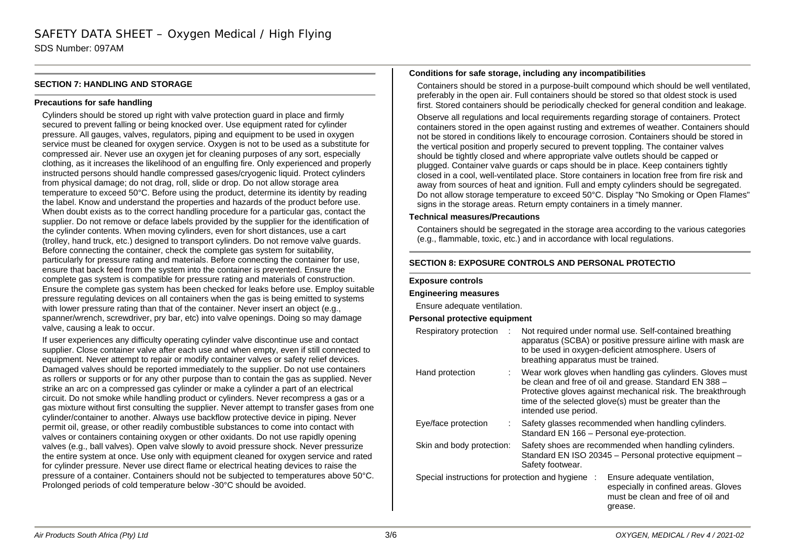# **SECTION 7: HANDLING AND STORAGE**

### **Precautions for safe handling**

Cylinders should be stored up right with valve protection guard in place and firmly secured to prevent falling or being knocked over. Use equipment rated for cylinder pressure. All gauges, valves, regulators, piping and equipment to be used in oxygen service must be cleaned for oxygen service. Oxygen is not to be used as a substitute for compressed air. Never use an oxygen jet for cleaning purposes of any sort, especially clothing, as it increases the likelihood of an engulfing fire. Only experienced and properly instructed persons should handle compressed gases/cryogenic liquid. Protect cylinders from physical damage; do not drag, roll, slide or drop. Do not allow storage area temperature to exceed 50°C. Before using the product, determine its identity by reading the label. Know and understand the properties and hazards of the product before use. When doubt exists as to the correct handling procedure for a particular gas, contact the supplier. Do not remove or deface labels provided by the supplier for the identification of the cylinder contents. When moving cylinders, even for short distances, use a cart (trolley, hand truck, etc.) designed to transport cylinders. Do not remove valve guards. Before connecting the container, check the complete gas system for suitability, particularly for pressure rating and materials. Before connecting the container for use, ensure that back feed from the system into the container is prevented. Ensure the complete gas system is compatible for pressure rating and materials of construction. Ensure the complete gas system has been checked for leaks before use. Employ suitable pressure regulating devices on all containers when the gas is being emitted to systems with lower pressure rating than that of the container. Never insert an object (e.g., spanner/wrench, screwdriver, pry bar, etc) into valve openings. Doing so may damage valve, causing a leak to occur.

If user experiences any difficulty operating cylinder valve discontinue use and contact supplier. Close container valve after each use and when empty, even if still connected to equipment. Never attempt to repair or modify container valves or safety relief devices. Damaged valves should be reported immediately to the supplier. Do not use containers as rollers or supports or for any other purpose than to contain the gas as supplied. Never strike an arc on a compressed gas cylinder or make a cylinder a part of an electrical circuit. Do not smoke while handling product or cylinders. Never recompress a gas or a gas mixture without first consulting the supplier. Never attempt to transfer gases from one cylinder/container to another. Always use backflow protective device in piping. Never permit oil, grease, or other readily combustible substances to come into contact with valves or containers containing oxygen or other oxidants. Do not use rapidly opening valves (e.g., ball valves). Open valve slowly to avoid pressure shock. Never pressurize the entire system at once. Use only with equipment cleaned for oxygen service and rated for cylinder pressure. Never use direct flame or electrical heating devices to raise the pressure of a container. Containers should not be subjected to temperatures above 50°C. Prolonged periods of cold temperature below -30°C should be avoided.

#### **Conditions for safe storage, including any incompatibilities**

Containers should be stored in a purpose-built compound which should be well ventilated, preferably in the open air. Full containers should be stored so that oldest stock is used first. Stored containers should be periodically checked for general condition and leakage.

Observe all regulations and local requirements regarding storage of containers. Protect containers stored in the open against rusting and extremes of weather. Containers should not be stored in conditions likely to encourage corrosion. Containers should be stored in the vertical position and properly secured to prevent toppling. The container valves should be tightly closed and where appropriate valve outlets should be capped or plugged. Container valve guards or caps should be in place. Keep containers tightly closed in a cool, well-ventilated place. Store containers in location free from fire risk and away from sources of heat and ignition. Full and empty cylinders should be segregated. Do not allow storage temperature to exceed 50°C. Display "No Smoking or Open Flames" signs in the storage areas. Return empty containers in a timely manner.

#### **Technical measures/Precautions**

Containers should be segregated in the storage area according to the various categories (e.g., flammable, toxic, etc.) and in accordance with local regulations.

# **SECTION 8: EXPOSURE CONTROLS AND PERSONAL PROTECTIO**

| <b>Exposure controls</b>                          |                                                                                                                                                                                                                                                                      |  |  |
|---------------------------------------------------|----------------------------------------------------------------------------------------------------------------------------------------------------------------------------------------------------------------------------------------------------------------------|--|--|
| <b>Engineering measures</b>                       |                                                                                                                                                                                                                                                                      |  |  |
|                                                   |                                                                                                                                                                                                                                                                      |  |  |
| Ensure adequate ventilation.                      |                                                                                                                                                                                                                                                                      |  |  |
| Personal protective equipment                     |                                                                                                                                                                                                                                                                      |  |  |
| Respiratory protection                            | Not required under normal use. Self-contained breathing<br>apparatus (SCBA) or positive pressure airline with mask are<br>to be used in oxygen-deficient atmosphere. Users of<br>breathing apparatus must be trained.                                                |  |  |
| Hand protection                                   | Wear work gloves when handling gas cylinders. Gloves must<br>be clean and free of oil and grease. Standard EN 388 -<br>Protective gloves against mechanical risk. The breakthrough<br>time of the selected glove(s) must be greater than the<br>intended use period. |  |  |
| Eye/face protection<br>÷.                         | Safety glasses recommended when handling cylinders.<br>Standard EN 166 - Personal eye-protection.                                                                                                                                                                    |  |  |
| Skin and body protection:                         | Safety shoes are recommended when handling cylinders.<br>Standard EN ISO 20345 - Personal protective equipment -<br>Safety footwear.                                                                                                                                 |  |  |
| Special instructions for protection and hygiene : | Ensure adequate ventilation,<br>especially in confined areas. Gloves<br>must be clean and free of oil and<br>grease.                                                                                                                                                 |  |  |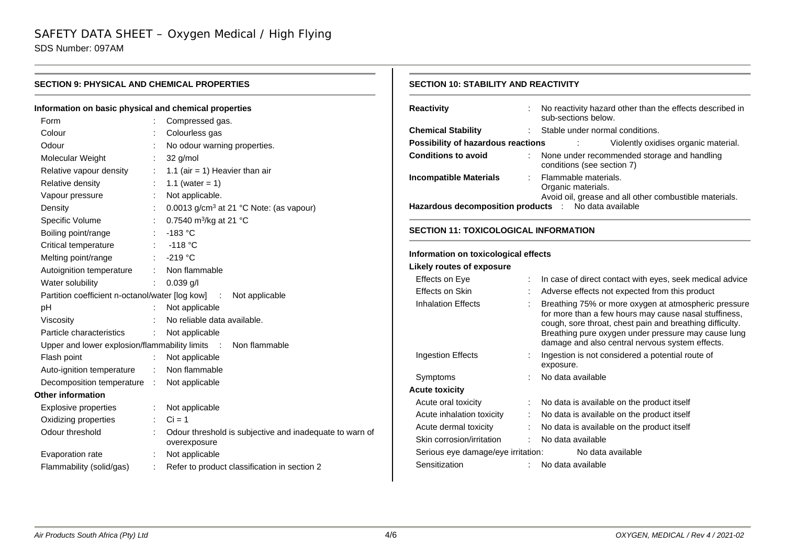# *SAFETY DATA SHEET – Oxygen Medical / High Flying*

SDS Number: 097AM

| <b>SECTION 9: PHYSICAL AND CHEMICAL PROPERTIES</b>                |                                                         | <b>SECTION 10: STABILITY AND REACTIVITY</b>  |                                                                                                               |  |
|-------------------------------------------------------------------|---------------------------------------------------------|----------------------------------------------|---------------------------------------------------------------------------------------------------------------|--|
| Information on basic physical and chemical properties             |                                                         | <b>Reactivity</b>                            | No reactivity hazard other than the effects described in                                                      |  |
| Form                                                              | Compressed gas.                                         |                                              | sub-sections below.                                                                                           |  |
| Colour                                                            | Colourless gas                                          | <b>Chemical Stability</b>                    | Stable under normal conditions.                                                                               |  |
| Odour                                                             | No odour warning properties.                            | Possibility of hazardous reactions           | Violently oxidises organic material.<br>$\sim$ 1.                                                             |  |
| Molecular Weight                                                  | 32 g/mol                                                | <b>Conditions to avoid</b>                   | None under recommended storage and handling<br>conditions (see section 7)                                     |  |
| Relative vapour density                                           | 1.1 (air = 1) Heavier than air                          | <b>Incompatible Materials</b>                | Flammable materials.                                                                                          |  |
| Relative density                                                  | 1.1 (water = 1)                                         |                                              | Organic materials.                                                                                            |  |
| Vapour pressure                                                   | Not applicable.                                         |                                              | Avoid oil, grease and all other combustible materials.                                                        |  |
| Density                                                           | 0.0013 g/cm <sup>3</sup> at 21 °C Note: (as vapour)     |                                              | Hazardous decomposition products : No data available                                                          |  |
| Specific Volume                                                   | 0.7540 m <sup>3</sup> /kg at 21 °C                      |                                              |                                                                                                               |  |
| Boiling point/range                                               | $-183 °C$                                               | <b>SECTION 11: TOXICOLOGICAL INFORMATION</b> |                                                                                                               |  |
| Critical temperature                                              | $-118$ °C                                               |                                              |                                                                                                               |  |
| Melting point/range                                               | $-219 °C$                                               | Information on toxicological effects         |                                                                                                               |  |
| Autoignition temperature                                          | Non flammable<br>$\mathbb{R}^n$                         | <b>Likely routes of exposure</b>             |                                                                                                               |  |
| Water solubility                                                  | $0.039$ g/l                                             | Effects on Eye                               | In case of direct contact with eyes, seek medical advice                                                      |  |
| Partition coefficient n-octanol/water [log kow]<br>Not applicable |                                                         | Effects on Skin                              | Adverse effects not expected from this product                                                                |  |
| рH                                                                | Not applicable                                          | <b>Inhalation Effects</b>                    | Breathing 75% or more oxygen at atmospheric pressure<br>for more than a few hours may cause nasal stuffiness, |  |
| Viscosity                                                         | No reliable data available.                             |                                              | cough, sore throat, chest pain and breathing difficulty.                                                      |  |
| Particle characteristics                                          | Not applicable                                          |                                              | Breathing pure oxygen under pressure may cause lung                                                           |  |
| Upper and lower explosion/flammability limits                     | Non flammable                                           |                                              | damage and also central nervous system effects.                                                               |  |
| Flash point                                                       | Not applicable                                          | Ingestion Effects                            | Ingestion is not considered a potential route of                                                              |  |
| Auto-ignition temperature                                         | Non flammable                                           |                                              | exposure.                                                                                                     |  |
| Decomposition temperature :                                       | Not applicable                                          | Symptoms                                     | No data available                                                                                             |  |
| <b>Other information</b>                                          |                                                         | <b>Acute toxicity</b>                        |                                                                                                               |  |
| <b>Explosive properties</b>                                       | Not applicable                                          | Acute oral toxicity                          | No data is available on the product itself                                                                    |  |
| Oxidizing properties                                              | $Ci = 1$                                                | Acute inhalation toxicity                    | No data is available on the product itself                                                                    |  |
| Odour threshold                                                   | Odour threshold is subjective and inadequate to warn of | Acute dermal toxicity                        | No data is available on the product itself                                                                    |  |
|                                                                   | overexposure                                            | Skin corrosion/irritation                    | No data available                                                                                             |  |
| Evaporation rate                                                  | Not applicable                                          | Serious eye damage/eye irritation:           | No data available                                                                                             |  |
| Flammability (solid/gas)                                          | Refer to product classification in section 2            | Sensitization                                | : No data available                                                                                           |  |
|                                                                   |                                                         |                                              |                                                                                                               |  |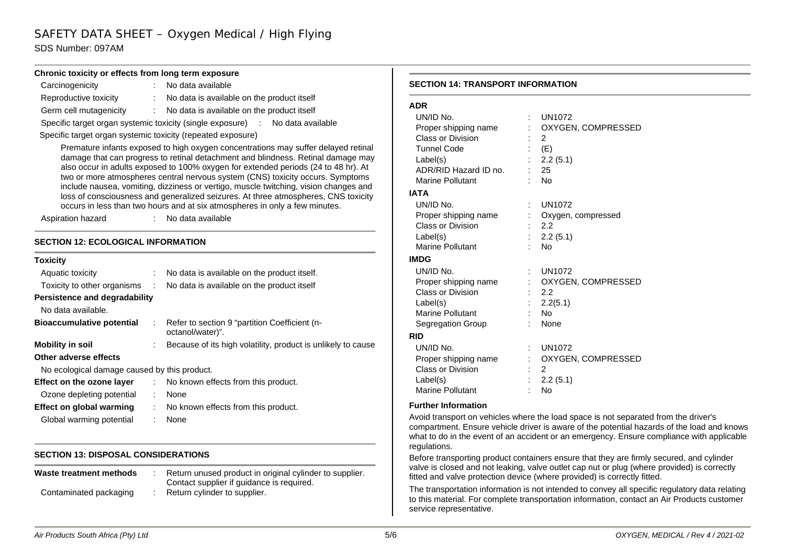#### **Chronic toxicity or effects from long term exposure** Carcinogenicity : No data available Reproductive toxicity : No data is available on the product itself Germ cell mutagenicity : No data is available on the product itself Specific target organ systemic toxicity (single exposure) : No data available Specific target organ systemic toxicity (repeated exposure) Premature infants exposed to high oxygen concentrations may suffer delayed retinal damage that can progress to retinal detachment and blindness. Retinal damage may also occur in adults exposed to 100% oxygen for extended periods (24 to 48 hr). At two or more atmospheres central nervous system (CNS) toxicity occurs. Symptoms include nausea, vomiting, dizziness or vertigo, muscle twitching, vision changes and loss of consciousness and generalized seizures. At three atmospheres, CNS toxicity occurs in less than two hours and at six atmospheres in only a few minutes. Aspiration hazard : No data available **SECTION 12: ECOLOGICAL INFORMATION Toxicity** Aquatic toxicity : No data is available on the product itself. Toxicity to other organisms : No data is available on the product itself **Persistence and degradability** No data available. **Bioaccumulative potential** : Refer to section 9 "partition Coefficient (noctanol/water)". **Mobility in soil** : Because of its high volatility, product is unlikely to cause **Other adverse effects** No ecological damage caused by this product. **Effect on the ozone layer** : No known effects from this product. Ozone depleting potential : None **Effect on global warming** : No known effects from this product. Global warming potential : None **SECTION 14: TRANSPORT INFORMATION ADR** UN/ID No. : UN1072 Proper shipping name : OXYGEN, COMPRESSED Class or Division : 2 Tunnel Code : (E) Label(s) : 2.2 (5.1) ADR/RID Hazard ID no. : 25 Marine Pollutant : No **IATA** UN/ID No. : UN1072 Proper shipping name : Oxygen, compressed<br>Class or Division<br>22 Class or Division Label(s) : 2.2 (5.1) Marine Pollutant : No **IMDG** UN/ID No. : UN1072 Proper shipping name : OXYGEN, COMPRESSED Class or Division : 2.2 Label(s) : 2.2(5.1) Marine Pollutant : No Segregation Group : None **RID** UN/ID No. : UN1072 Proper shipping name : OXYGEN, COMPRESSED Class or Division : 2 Label(s) : 2.2 (5.1) Marine Pollutant : No **Further Information**

# **SECTION 13: DISPOSAL CONSIDERATIONS**

| Waste treatment methods | Return unused product in original cylinder to supplier. |
|-------------------------|---------------------------------------------------------|
|                         | Contact supplier if guidance is required.               |
| Contaminated packaging  | Return cylinder to supplier.                            |

Avoid transport on vehicles where the load space is not separated from the driver's compartment. Ensure vehicle driver is aware of the potential hazards of the load and knows what to do in the event of an accident or an emergency. Ensure compliance with applicable regulations.

Before transporting product containers ensure that they are firmly secured, and cylinder valve is closed and not leaking, valve outlet cap nut or plug (where provided) is correctly fitted and valve protection device (where provided) is correctly fitted.

The transportation information is not intended to convey all specific regulatory data relating to this material. For complete transportation information, contact an Air Products customer service representative.